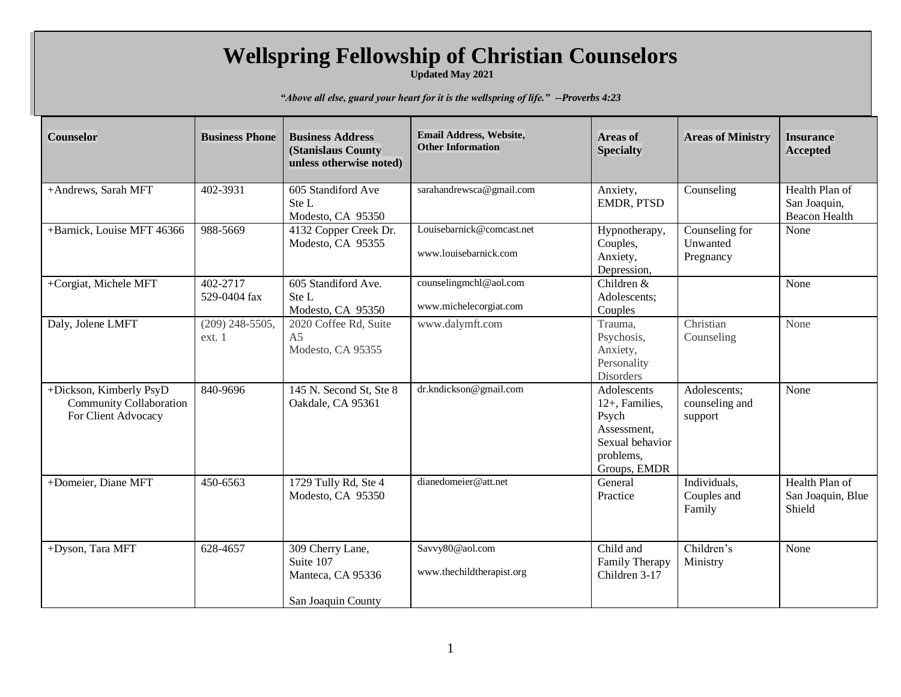## **Wellspring Fellowship of Christian Counselors**

**Updated May 2021**

*"Above all else, guard your heart for it is the wellspring of life." --Proverbs 4:23*

| Counselor                                                                        | <b>Business Phone</b>       | <b>Business Address</b><br>(Stanislaus County                            | Email Address, Website,<br><b>Other Information</b> | <b>Areas of</b><br><b>Specialty</b>                                                                   | <b>Areas of Ministry</b>                  | <b>Insurance</b><br><b>Accepted</b>                    |
|----------------------------------------------------------------------------------|-----------------------------|--------------------------------------------------------------------------|-----------------------------------------------------|-------------------------------------------------------------------------------------------------------|-------------------------------------------|--------------------------------------------------------|
|                                                                                  |                             | unless otherwise noted)                                                  |                                                     |                                                                                                       |                                           |                                                        |
| +Andrews, Sarah MFT                                                              | 402-3931                    | 605 Standiford Ave<br>Ste L<br>Modesto, CA 95350                         | sarahandrewsca@gmail.com                            | Anxiety,<br>EMDR, PTSD                                                                                | Counseling                                | Health Plan of<br>San Joaquin,<br><b>Beacon Health</b> |
| +Barnick, Louise MFT 46366                                                       | 988-5669                    | 4132 Copper Creek Dr.<br>Modesto, CA 95355                               | Louisebarnick@comcast.net<br>www.louisebarnick.com  | Hypnotherapy,<br>Couples,<br>Anxiety,<br>Depression,                                                  | Counseling for<br>Unwanted<br>Pregnancy   | None                                                   |
| +Corgiat, Michele MFT                                                            | 402-2717<br>529-0404 fax    | 605 Standiford Ave.<br>Ste L<br>Modesto, CA 95350                        | counselingmchl@aol.com<br>www.michelecorgiat.com    | Children &<br>Adolescents;<br>Couples                                                                 |                                           | None                                                   |
| Daly, Jolene LMFT                                                                | $(209)$ 248-5505,<br>ext. 1 | 2020 Coffee Rd, Suite<br>A <sub>5</sub><br>Modesto, CA 95355             | www.dalymft.com                                     | Trauma,<br>Psychosis,<br>Anxiety,<br>Personality<br>Disorders                                         | Christian<br>Counseling                   | None                                                   |
| +Dickson, Kimberly PsyD<br><b>Community Collaboration</b><br>For Client Advocacy | 840-9696                    | 145 N. Second St, Ste 8<br>Oakdale, CA 95361                             | dr.kndickson@gmail.com                              | Adolescents<br>12+, Families,<br>Psych<br>Assessment,<br>Sexual behavior<br>problems,<br>Groups, EMDR | Adolescents;<br>counseling and<br>support | None                                                   |
| +Domeier, Diane MFT                                                              | 450-6563                    | 1729 Tully Rd, Ste 4<br>Modesto, CA 95350                                | dianedomeier@att.net                                | General<br>Practice                                                                                   | Individuals,<br>Couples and<br>Family     | Health Plan of<br>San Joaquin, Blue<br>Shield          |
| +Dyson, Tara MFT                                                                 | 628-4657                    | 309 Cherry Lane,<br>Suite 107<br>Manteca, CA 95336<br>San Joaquin County | Savvy80@aol.com<br>www.thechildtherapist.org        | Child and<br>Family Therapy<br>Children 3-17                                                          | Children's<br>Ministry                    | None                                                   |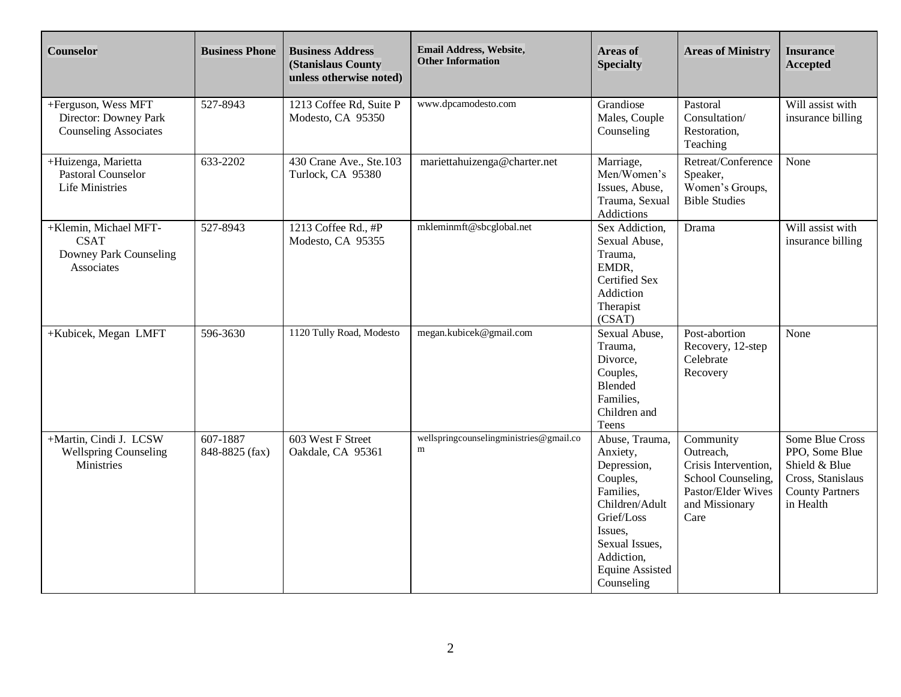| <b>Counselor</b>                                                             | <b>Business Phone</b>      | <b>Business Address</b><br>(Stanislaus County<br>unless otherwise noted) | Email Address, Website,<br><b>Other Information</b> | <b>Areas of</b><br><b>Specialty</b>                                                                                                                                                   | <b>Areas of Ministry</b>                                                                                             | <b>Insurance</b><br><b>Accepted</b>                                                                            |
|------------------------------------------------------------------------------|----------------------------|--------------------------------------------------------------------------|-----------------------------------------------------|---------------------------------------------------------------------------------------------------------------------------------------------------------------------------------------|----------------------------------------------------------------------------------------------------------------------|----------------------------------------------------------------------------------------------------------------|
| +Ferguson, Wess MFT<br>Director: Downey Park<br><b>Counseling Associates</b> | 527-8943                   | 1213 Coffee Rd, Suite P<br>Modesto, CA 95350                             | www.dpcamodesto.com                                 | Grandiose<br>Males, Couple<br>Counseling                                                                                                                                              | Pastoral<br>Consultation/<br>Restoration,<br>Teaching                                                                | Will assist with<br>insurance billing                                                                          |
| +Huizenga, Marietta<br>Pastoral Counselor<br><b>Life Ministries</b>          | 633-2202                   | 430 Crane Ave., Ste.103<br>Turlock, CA 95380                             | mariettahuizenga@charter.net                        | Marriage,<br>Men/Women's<br>Issues, Abuse,<br>Trauma, Sexual<br>Addictions                                                                                                            | Retreat/Conference<br>Speaker,<br>Women's Groups,<br><b>Bible Studies</b>                                            | None                                                                                                           |
| +Klemin, Michael MFT-<br><b>CSAT</b><br>Downey Park Counseling<br>Associates | 527-8943                   | 1213 Coffee Rd., #P<br>Modesto, CA 95355                                 | mkleminmft@sbcglobal.net                            | Sex Addiction,<br>Sexual Abuse,<br>Trauma,<br>EMDR,<br><b>Certified Sex</b><br>Addiction<br>Therapist<br>(CSAT)                                                                       | Drama                                                                                                                | Will assist with<br>insurance billing                                                                          |
| +Kubicek, Megan LMFT                                                         | 596-3630                   | 1120 Tully Road, Modesto                                                 | megan.kubicek@gmail.com                             | Sexual Abuse,<br>Trauma,<br>Divorce,<br>Couples,<br>Blended<br>Families.<br>Children and<br>Teens                                                                                     | Post-abortion<br>Recovery, 12-step<br>Celebrate<br>Recovery                                                          | None                                                                                                           |
| +Martin, Cindi J. LCSW<br><b>Wellspring Counseling</b><br>Ministries         | 607-1887<br>848-8825 (fax) | 603 West F Street<br>Oakdale, CA 95361                                   | wellspringcounselingministries@gmail.co<br>m        | Abuse, Trauma,<br>Anxiety,<br>Depression,<br>Couples,<br>Families,<br>Children/Adult<br>Grief/Loss<br>Issues,<br>Sexual Issues,<br>Addiction,<br><b>Equine Assisted</b><br>Counseling | Community<br>Outreach,<br>Crisis Intervention,<br>School Counseling,<br>Pastor/Elder Wives<br>and Missionary<br>Care | Some Blue Cross<br>PPO, Some Blue<br>Shield & Blue<br>Cross, Stanislaus<br><b>County Partners</b><br>in Health |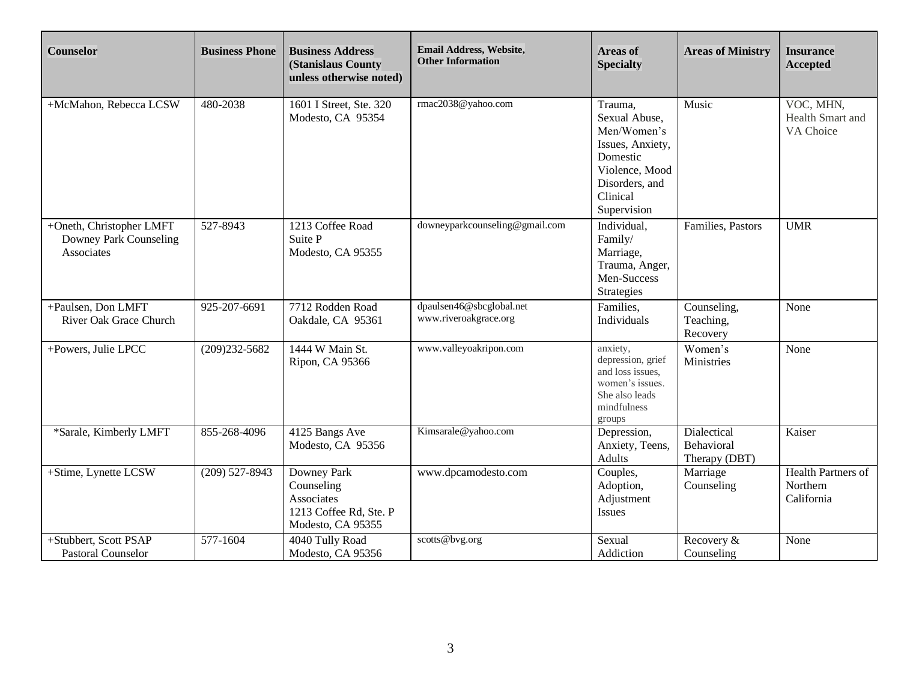| <b>Counselor</b>                                                 | <b>Business Phone</b> | <b>Business Address</b><br>(Stanislaus County<br>unless otherwise noted)               | Email Address, Website,<br><b>Other Information</b> | <b>Areas of</b><br><b>Specialty</b>                                                                                                    | <b>Areas of Ministry</b>                   | <b>Insurance</b><br><b>Accepted</b>          |
|------------------------------------------------------------------|-----------------------|----------------------------------------------------------------------------------------|-----------------------------------------------------|----------------------------------------------------------------------------------------------------------------------------------------|--------------------------------------------|----------------------------------------------|
| +McMahon, Rebecca LCSW                                           | 480-2038              | 1601 I Street, Ste. 320<br>Modesto, CA 95354                                           | rmac2038@yahoo.com                                  | Trauma,<br>Sexual Abuse,<br>Men/Women's<br>Issues, Anxiety,<br>Domestic<br>Violence, Mood<br>Disorders, and<br>Clinical<br>Supervision | Music                                      | VOC, MHN,<br>Health Smart and<br>VA Choice   |
| +Oneth, Christopher LMFT<br>Downey Park Counseling<br>Associates | 527-8943              | 1213 Coffee Road<br>Suite P<br>Modesto, CA 95355                                       | downeyparkcounseling@gmail.com                      | Individual,<br>Family/<br>Marriage,<br>Trauma, Anger,<br>Men-Success<br>Strategies                                                     | Families, Pastors                          | <b>UMR</b>                                   |
| +Paulsen, Don LMFT<br>River Oak Grace Church                     | 925-207-6691          | 7712 Rodden Road<br>Oakdale, CA 95361                                                  | dpaulsen46@sbcglobal.net<br>www.riveroakgrace.org   | Families,<br>Individuals                                                                                                               | Counseling,<br>Teaching,<br>Recovery       | None                                         |
| +Powers, Julie LPCC                                              | $(209)232 - 5682$     | 1444 W Main St.<br>Ripon, CA 95366                                                     | www.valleyoakripon.com                              | anxiety,<br>depression, grief<br>and loss issues,<br>women's issues.<br>She also leads<br>mindfulness<br>groups                        | Women's<br>Ministries                      | None                                         |
| *Sarale, Kimberly LMFT                                           | 855-268-4096          | 4125 Bangs Ave<br>Modesto, CA 95356                                                    | Kimsarale@yahoo.com                                 | Depression,<br>Anxiety, Teens,<br>Adults                                                                                               | Dialectical<br>Behavioral<br>Therapy (DBT) | Kaiser                                       |
| +Stime, Lynette LCSW                                             | $(209)$ 527-8943      | Downey Park<br>Counseling<br>Associates<br>1213 Coffee Rd, Ste. P<br>Modesto, CA 95355 | www.dpcamodesto.com                                 | Couples,<br>Adoption,<br>Adjustment<br><b>Issues</b>                                                                                   | Marriage<br>Counseling                     | Health Partners of<br>Northern<br>California |
| +Stubbert, Scott PSAP<br><b>Pastoral Counselor</b>               | 577-1604              | 4040 Tully Road<br>Modesto, CA 95356                                                   | scotts@bvg.org                                      | Sexual<br>Addiction                                                                                                                    | Recovery &<br>Counseling                   | None                                         |